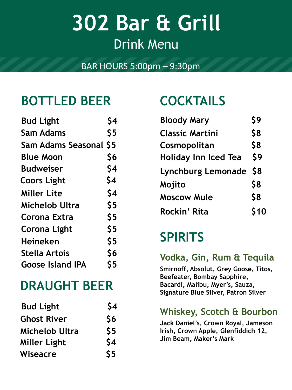# **302 Bar & Grill** Drink Menu

### BAR HOURS 5:00pm – 9:30pm

# **BOTTLED BEER COCKTAILS**

| <b>Bud Light</b>              | S4  |
|-------------------------------|-----|
| Sam Adams                     | \$5 |
| <b>Sam Adams Seasonal \$5</b> |     |
| <b>Blue Moon</b>              | \$6 |
| <b>Budweiser</b>              | \$4 |
| <b>Coors Light</b>            | \$4 |
| <b>Miller Lite</b>            | \$4 |
| Michelob Ultra                | \$5 |
| Corona Extra                  | \$5 |
| Corona Light                  | \$5 |
| <b>Heineken</b>               | \$5 |
| Stella Artois                 | \$6 |
| <b>Goose Island IPA</b>       | \$5 |
|                               |     |

# **DRAUGHT BEER**

| <b>Bud Light</b>      | \$4           |
|-----------------------|---------------|
| <b>Ghost River</b>    | \$6           |
| <b>Michelob Ultra</b> | \$5           |
| <b>Miller Light</b>   | \$4           |
| Wiseacre              | $\mathsf{S}5$ |

| <b>Bud Light</b>       | \$4 | <b>Bloody Mary</b>          | \$9  |
|------------------------|-----|-----------------------------|------|
| <b>Sam Adams</b>       | \$5 | <b>Classic Martini</b>      | \$8  |
| Sam Adams Seasonal \$5 |     | Cosmopolitan                | \$8  |
| <b>Blue Moon</b>       | \$6 | <b>Holiday Inn Iced Tea</b> | \$9  |
| <b>Budweiser</b>       | \$4 | Lynchburg Lemonade \$8      |      |
| <b>Coors Light</b>     | \$4 | Mojito                      | \$8  |
| <b>Miller Lite</b>     | \$4 | <b>Moscow Mule</b>          | \$8  |
| Michelob Ultra         | \$5 | Rockin' Rita                | \$10 |
| Corona Extra           | ぐら  |                             |      |

# **SPIRITS**

### **Vodka, Gin, Rum & Tequila**

**Smirnoff, Absolut, Grey Goose, Titos, Beefeater, Bombay Sapphire, Bacardi, Malibu, Myer's, Sauza, Signature Blue Silver, Patron Silver** 

### **Whiskey, Scotch & Bourbon**

**Jack Daniel's, Crown Royal, Jameson Irish, Crown Apple, Glenfiddich 12, Jim Beam, Maker's Mark**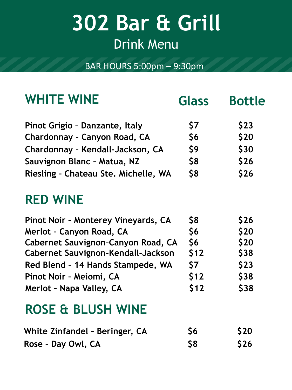# **302 Bar & Grill** Drink Menu

BAR HOURS 5:00pm – 9:30pm

| <b>WHITE WINE</b>                    | <b>Glass</b> | <b>Bottle</b> |
|--------------------------------------|--------------|---------------|
| Pinot Grigio - Danzante, Italy       | \$7          | \$23          |
| Chardonnay - Canyon Road, CA         | \$6          | \$20          |
| Chardonnay - Kendall-Jackson, CA     | \$9          | \$30          |
| Sauvignon Blanc - Matua, NZ          | \$8          | \$26          |
| Riesling - Chateau Ste. Michelle, WA | \$8          | \$26          |
| <b>RED WINE</b>                      |              |               |
| Pinot Noir - Monterey Vineyards, CA  | \$8          | \$26          |
| <b>Merlot - Canyon Road, CA</b>      | \$6          | \$20          |
| Cabernet Sauvignon-Canyon Road, CA   | \$6          | \$20          |
| Cabernet Sauvignon-Kendall-Jackson   | \$12         | <b>\$38</b>   |
| Red Blend - 14 Hands Stampede, WA    | \$7          | \$23          |
| Pinot Noir - Meiomi, CA              | \$12         | \$38          |
| Merlot - Napa Valley, CA             | \$12         | \$38          |
| <b>ROSE &amp; BLUSH WINE</b>         |              |               |
| White Zinfandel - Beringer, CA       | \$6          | \$20          |
| Rose - Day Owl, CA                   | \$8          | \$26          |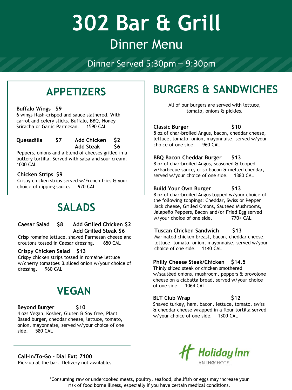# **302 Bar & Grill** Dinner Menu

Dinner Served 5:30pm – 9:30pm

# **APPETIZERS**

#### **Buffalo Wings \$9**

6 wings flash-crisped and sauce slathered. With carrot and celery sticks. Buffalo, BBQ, Honey Sriracha or Garlic Parmesan. 1590 CAL

#### **Quesadilla \$7 Add Chicken \$2 Add Steak \$6**

Peppers, onions and a blend of cheeses grilled in a buttery tortilla. Served with salsa and sour cream. 1000 CAL

#### **Chicken Strips \$9**

Crispy chicken strips served w/French fries & your choice of dipping sauce. 920 CAL

## **SALADS**

#### **Caesar Salad \$8 Add Grilled Chicken \$2 Add Grilled Steak \$6**

Crisp romaine lettuce, shaved Parmesan cheese and croutons tossed in Caesar dressing. 650 CAL

#### **Crispy Chicken Salad \$13**

Crispy chicken strips tossed in romaine lettuce w/cherry tomatoes & sliced onion w/your choice of dressing. 960 CAL

### **VEGAN**

#### **Beyond Burger \$10**

4 ozs Vegan, Kosher, Gluten & Soy free, Plant Based burger, cheddar cheese, lettuce, tomato, onion, mayonnaise, served w/your choice of one side. 580 CAL

#### **Call-In/To-Go – Dial Ext: 7100** Pick-up at the bar. Delivery not available.

# **BURGERS & SANDWICHES**

All of our burgers are served with lettuce, tomato, onions & pickles.

#### **Classic Burger \$10**

8 oz of char-broiled Angus, bacon, cheddar cheese, lettuce, tomato, onion, mayonnaise, served w/your choice of one side. 960 CAL

#### **BBQ Bacon Cheddar Burger \$13**

8 oz of char-broiled Angus, seasoned & topped w/barbecue sauce, crisp bacon & melted cheddar, served w/your choice of one side. 1380 CAL

#### **Build Your Own Burger \$13**

8 oz of char-broiled Angus topped w/your choice of the following toppings: Cheddar, Swiss or Pepper Jack cheese, Grilled Onions, Sautéed Mushrooms, Jalapeño Peppers, Bacon and/or Fried Egg served w/your choice of one side. 770+ CAL

#### **Tuscan Chicken Sandwich \$13**

Marinated chicken breast, bacon, cheddar cheese, lettuce, tomato, onion, mayonnaise, served w/your choice of one side. 1140 CAL

#### **Philly Cheese Steak/Chicken \$14.5**

Thinly sliced steak or chicken smothered w/sautéed onions, mushroom, peppers & provolone cheese on a ciabatta bread, served w/your choice of one side. 1064 CAL

#### **BLT Club Wrap \$12**

Shaved turkey, ham, bacon, lettuce, tomato, swiss & cheddar cheese wrapped in a flour tortilla served w/your choice of one side. 1300 CAL



\*Consuming raw or undercooked meats, poultry, seafood, shellfish or eggs may increase your risk of food borne illness, especially if you have certain medical conditions.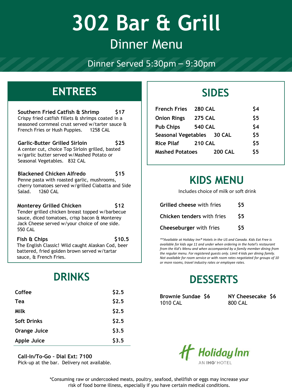# **302 Bar & Grill** Dinner Menu

Dinner Served 5:30pm – 9:30pm

### **ENTREES SIDES**

**Southern Fried Catfish & Shrimp \$17** Crispy fried catfish fillets & shrimps coated in a seasoned cornmeal crust served w/tarter sauce & French Fries or Hush Puppies. 1258 CAL

**Garlic-Butter Grilled Sirloin \$25** A center cut, choice Top Sirloin grilled, basted w/garlic butter served w/Mashed Potato or Seasonal Vegetables. 832 CAL

**Blackened Chicken Alfredo \$15** Penne pasta with roasted garlic, mushrooms, cherry tomatoes served w/grilled Ciabatta and Side Salad. 1260 CAL

**Monterey Grilled Chicken \$12** Tender grilled chicken breast topped w/barbecue sauce, diced tomatoes, crisp bacon & Monterey Jack Cheese served w/your choice of one side. 550 CAL

**Fish & Chips \$10.5** The English Classic! Wild caught Alaskan Cod, beer battered, fried golden brown served w/tartar sauce, & French Fries.

# **DRINKS**

| Coffee             | \$2.5 |
|--------------------|-------|
| Tea                | \$2.5 |
| Milk               | \$2.5 |
| <b>Soft Drinks</b> | \$2.5 |
| Orange Juice       | \$3.5 |
| <b>Apple Juice</b> | \$3.5 |
|                    |       |

**Call-In/To-Go – Dial Ext: 7100** Pick-up at the bar. Delivery not available.

| <b>French Fries</b>        | <b>280 CAL</b> |                | \$4 |
|----------------------------|----------------|----------------|-----|
| <b>Onion Rings</b>         | <b>275 CAL</b> |                | \$5 |
| <b>Pub Chips</b>           | <b>540 CAL</b> |                | \$4 |
| Seasonal Vegetables 30 CAL |                |                | \$5 |
| <b>Rice Pilaf</b>          | <b>210 CAL</b> |                | \$5 |
| <b>Mashed Potatoes</b>     |                | <b>200 CAL</b> | \$5 |

## **KIDS MENU**

Includes choice of milk or soft drink

| <b>Grilled cheese with fries</b>  | \$5. |
|-----------------------------------|------|
| <b>Chicken tenders with fries</b> | S5.  |
| Cheeseburger with fries           | \$5. |

*\*\*Available at Holiday Inn® Hotels in the US and Canada. Kids Eat Free is available for kids age 11 and under when ordering in the hotel's restaurant from the Kid's Menu and when accompanied by a family member dining from the regular menu. For registered guests only. Limit 4 kids per dining family. Not available for room service or with room rates negotiated for groups of 10 or more rooms, travel industry rates or employee rates.*

# **DESSERTS**

**Brownie Sundae \$6** 1010 CAL

**NY Cheesecake \$6** 800 CAL



\*Consuming raw or undercooked meats, poultry, seafood, shellfish or eggs may increase your risk of food borne illness, especially if you have certain medical conditions.